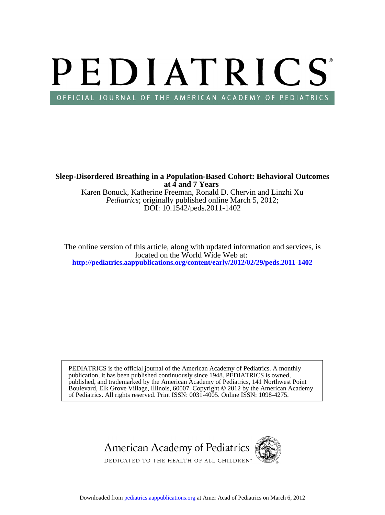# PEDIATRICS OFFICIAL JOURNAL OF THE AMERICAN ACADEMY OF PEDIATRICS

**at 4 and 7 Years Sleep-Disordered Breathing in a Population-Based Cohort: Behavioral Outcomes**

DOI: 10.1542/peds.2011-1402 *Pediatrics*; originally published online March 5, 2012; Karen Bonuck, Katherine Freeman, Ronald D. Chervin and Linzhi Xu

**<http://pediatrics.aappublications.org/content/early/2012/02/29/peds.2011-1402>** located on the World Wide Web at: The online version of this article, along with updated information and services, is

of Pediatrics. All rights reserved. Print ISSN: 0031-4005. Online ISSN: 1098-4275. Boulevard, Elk Grove Village, Illinois, 60007. Copyright © 2012 by the American Academy published, and trademarked by the American Academy of Pediatrics, 141 Northwest Point publication, it has been published continuously since 1948. PEDIATRICS is owned, PEDIATRICS is the official journal of the American Academy of Pediatrics. A monthly

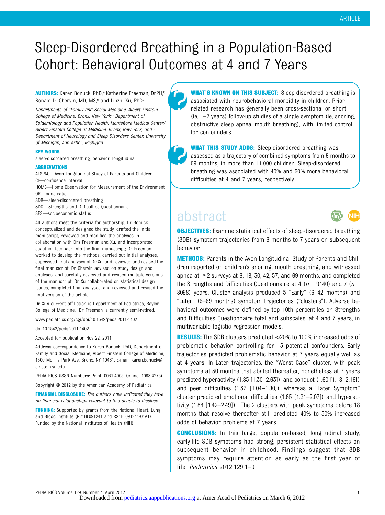# Sleep-Disordered Breathing in a Population-Based Cohort: Behavioral Outcomes at 4 and 7 Years

AUTHORS: Karen Bonuck, PhD,<sup>a</sup> Katherine Freeman, DrPH,<sup>b</sup> Ronald D. Chervin, MD, MS,<sup>c</sup> and Linzhi Xu, PhD<sup>a</sup>

Departments of <sup>a</sup>Family and Social Medicine, Albert Einstein College of Medicine, Bronx, New York; **bDepartment** of Epidemiology and Population Health, Montefiore Medical Center/ Albert Einstein College of Medicine, Bronx, New York; and <sup>c</sup> Department of Neurology and Sleep Disorders Center, University of Michigan, Ann Arbor, Michigan

#### KEY WORDS

sleep-disordered breathing, behavior, longitudinal

#### ABBREVIATIONS

ALSPAC—Avon Longitudinal Study of Parents and Children CI—confidence interval

- HOME—Home Observation for Measurement of the Environment OR—odds ratio
- SDB—sleep-disordered breathing
- SDQ—Strengths and Difficulties Questionnaire
- SES—socioeconomic status

All authors meet the criteria for authorship; Dr Bonuck conceptualized and designed the study, drafted the initial manuscript, reviewed and modified the analyses in collaboration with Drs Freeman and Xu, and incorporated coauthor feedback into the final manuscript; Dr Freeman worked to develop the methods, carried out initial analyses, supervised final analyses of Dr Xu, and reviewed and revised the final manuscript; Dr Chervin advised on study design and analyses, and carefully reviewed and revised multiple versions of the manuscript; Dr Xu collaborated on statistical design issues, completed final analyses, and reviewed and revised the final version of the article.

Dr Xu's current affiliation is Department of Pediatrics, Baylor College of Medicine. Dr Freeman is currently semi-retired.

www.pediatrics.org/cgi/doi/10.1542/peds.2011-1402

doi:10.1542/peds.2011-1402

Accepted for publication Nov 22, 2011

Address correspondence to Karen Bonuck, PhD, Department of Family and Social Medicine, Albert Einstein College of Medicine, 1300 Morris Park Ave, Bronx, NY 10461. E-mail: [karen.bonuck@](mailto:karen.bonuck@<?tjl=20mm?><?tjl?>einstein.yu.edu) [einstein.yu.edu](mailto:karen.bonuck@<?tjl=20mm?><?tjl?>einstein.yu.edu)

PEDIATRICS (ISSN Numbers: Print, 0031-4005; Online, 1098-4275).

Copyright © 2012 by the American Academy of Pediatrics

FINANCIAL DISCLOSURE: The authors have indicated they have no financial relationships relevant to this article to disclose.

**FUNDING:** Supported by grants from the National Heart, Lung, and Blood Institute (R21HL091241 and R21HL091241-01A1). Funded by the National Institutes of Health (NIH).

WHAT'S KNOWN ON THIS SUBJECT: Sleep-disordered breathing is associated with neurobehavioral morbidity in children. Prior related research has generally been cross-sectional or short (ie, 1–2 years) follow-up studies of a single symptom (ie, snoring, obstructive sleep apnea, mouth breathing), with limited control for confounders.

WHAT THIS STUDY ADDS: Sleep-disordered breathing was assessed as a trajectory of combined symptoms from 6 months to 69 months, in more than 11 000 children. Sleep-disordered breathing was associated with 40% and 60% more behavioral difficulties at 4 and 7 years, respectively.

# abstract



**OBJECTIVES:** Examine statistical effects of sleep-disordered breathing (SDB) symptom trajectories from 6 months to 7 years on subsequent behavior.

**METHODS:** Parents in the Avon Longitudinal Study of Parents and Children reported on children's snoring, mouth breathing, and witnessed apnea at  $\geq$ 2 surveys at 6, 18, 30, 42, 57, and 69 months, and completed the Strengths and Difficulties Questionnaire at 4 ( $n = 9140$ ) and 7 ( $n =$ 8098) years. Cluster analysis produced 5 "Early" (6–42 months) and "Later" (6–69 months) symptom trajectories ("clusters"). Adverse behavioral outcomes were defined by top 10th percentiles on Strengths and Difficulties Questionnaire total and subscales, at 4 and 7 years, in multivariable logistic regression models.

**RESULTS:** The SDB clusters predicted  $\approx$  20% to 100% increased odds of problematic behavior, controlling for 15 potential confounders. Early trajectories predicted problematic behavior at 7 years equally well as at 4 years. In Later trajectories, the "Worst Case" cluster, with peak symptoms at 30 months that abated thereafter, nonetheless at 7 years predicted hyperactivity (1.85 [1.30–2.63]), and conduct (1.60 [1.18–2.16]) and peer difficulties (1.37 [1.04–1.80]), whereas a "Later Symptom" cluster predicted emotional difficulties (1.65 [1.21–2.07]) and hyperactivity (1.88 [1.42–2.49]) . The 2 clusters with peak symptoms before 18 months that resolve thereafter still predicted 40% to 50% increased odds of behavior problems at 7 years.

**CONCLUSIONS:** In this large, population-based, longitudinal study, early-life SDB symptoms had strong, persistent statistical effects on subsequent behavior in childhood. Findings suggest that SDB symptoms may require attention as early as the first year of life. Pediatrics 2012;129:1–9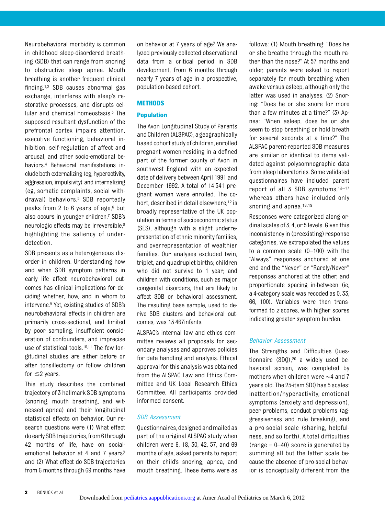Neurobehavioral morbidity is common in childhood sleep-disordered breathing (SDB) that can range from snoring to obstructive sleep apnea. Mouth breathing is another frequent clinical finding.1,2 SDB causes abnormal gas exchange, interferes with sleep's restorative processes, and disrupts cellular and chemical homeostasis. $3$  The supposed resultant dysfunction of the prefrontal cortex impairs attention, executive functioning, behavioral inhibition, self-regulation of affect and arousal, and other socio-emotional behaviors.4 Behavioral manifestations include both externalizing (eg, hyperactivity, aggression, impulsivity) and internalizing (eg, somatic complaints, social withdrawal) behaviors.5 SDB reportedly peaks from 2 to 6 years of age,<sup>6</sup> but also occurs in younger children.7 SDB's neurologic effects may be irreversible,8 highlighting the saliency of underdetection.

SDB presents as a heterogeneous disorder in children. Understanding how and when SDB symptom patterns in early life affect neurobehavioral outcomes has clinical implications for deciding whether, how, and in whom to intervene.9 Yet, existing studies of SDB's neurobehavioral effects in children are primarily cross-sectional, and limited by poor sampling, insufficient consideration of confounders, and imprecise use of statistical tools.<sup>10,11</sup> The few longitudinal studies are either before or after tonsillectomy or follow children for  $\leq$  2 years.

This study describes the combined trajectory of 3 hallmark SDB symptoms (snoring, mouth breathing, and witnessed apnea) and their longitudinal statistical effects on behavior. Our research questions were (1) What effect do earlySDBtrajectories,from6through 42 months of life, have on socialemotional behavior at 4 and 7 years? and (2) What effect do SDB trajectories from 6 months through 69 months have

on behavior at 7 years of age? We analyzed previously collected observational data from a critical period in SDB development, from 6 months through nearly 7 years of age in a prospective, population-based cohort.

#### **METHODS**

#### Population

The Avon Longitudinal Study of Parents andChildren (ALSPAC), ageographically based cohort study of children, enrolled pregnant women residing in a defined part of the former county of Avon in southwest England with an expected date of delivery between April 1991 and December 1992. A total of 14 541 pregnant women were enrolled. The cohort, described in detail elsewhere,<sup>12</sup> is broadly representative of the UK population in terms of socioeconomic status (SES), although with a slight underrepresentation of ethnic minority families, and overrepresentation of wealthier families. Our analyses excluded twin, triplet, and quadruplet births; children who did not survive to 1 year; and children with conditions, such as major congenital disorders, that are likely to affect SDB or behavioral assessment. The resulting base sample, used to derive SDB clusters and behavioral outcomes, was 13 467infants.

ALSPAC's internal law and ethics committee reviews all proposals for secondary analyses and approves policies for data handling and analysis. Ethical approval for this analysis was obtained from the ALSPAC Law and Ethics Committee and UK Local Research Ethics Committee. All participants provided informed consent.

#### SDB Assessment

Questionnaires,designedandmailedas part of the original ALSPAC study when children were 6, 18, 30, 42, 57, and 69 months of age, asked parents to report on their child's snoring, apnea, and mouth breathing. These items were as

follows: (1) Mouth breathing: "Does he or she breathe through the mouth rather than the nose?" At 57 months and older, parents were asked to report separately for mouth breathing when awake versus asleep, although only the latter was used in analyses. (2) Snoring: "Does he or she snore for more than a few minutes at a time?" (3) Apnea: "When asleep, does he or she seem to stop breathing or hold breath for several seconds at a time?" The ALSPAC parent-reported SDB measures are similar or identical to items validated against polysomnographic data from sleep laboratories. Some validated questionnaires have included parent report of all 3 SDB symptoms, $13-17$ whereas others have included only snoring and apnea.<sup>18,19</sup>

Responses were categorized along ordinal scales of 3, 4, or 5 levels. Given this inconsistency in (preexisting) response categories, we extrapolated the values to a common scale (0–100) with the "Always" responses anchored at one end and the "Never" or "Rarely/Never" responses anchored at the other, and proportionate spacing in-between (ie, a 4-category scale was recoded as 0, 33, 66, 100). Variables were then transformed to z scores, with higher scores indicating greater symptom burden.

#### Behavior Assessment

The Strengths and Difficulties Questionnaire (SDQ),20 a widely used behavioral screen, was completed by mothers when children were ∼4 and 7 years old. The 25-item SDQ has 5 scales: inattention/hyperactivity, emotional symptoms (anxiety and depression), peer problems, conduct problems (aggressiveness and rule breaking), and a pro-social scale (sharing, helpfulness, and so forth). A total difficulties (range  $= 0 - 40$ ) score is generated by summing all but the latter scale because the absence of pro-social behavior is conceptually different from the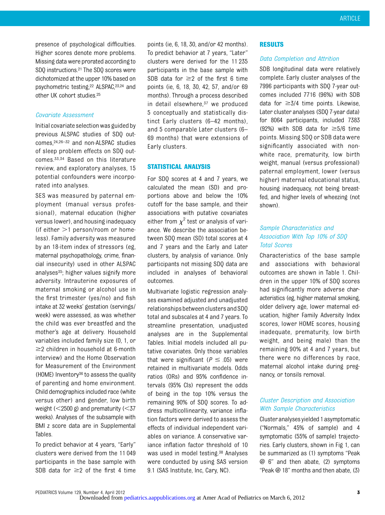presence of psychological difficulties. Higher scores denote more problems. Missing data were prorated according to SDQ instructions.21 The SDQ scores were dichotomized at the upper 10% based on psychometric testing,22 ALSPAC,23,24 and other UK cohort studies.25

#### Covariate Assessment

Initial covariate selectionwas guided by previous ALSPAC studies of SDQ outcomes,24,26–<sup>32</sup> and non-ALSPAC studies of sleep problem effects on SDQ outcomes.33,34 Based on this literature review, and exploratory analyses, 15 potential confounders were incorporated into analyses.

SES was measured by paternal employment (manual versus professional), maternal education (higher versus lower), and housing inadequacy (if either  $>1$  person/room or homeless). Family adversity was measured by an 18-item index of stressors (eg, maternal psychopathology, crime, financial insecurity) used in other ALSPAC analyses $35$ ; higher values signify more adversity. Intrauterine exposures of maternal smoking or alcohol use in the first trimester (yes/no) and fish intake at 32 weeks' gestation (servings/ week) were assessed, as was whether the child was ever breastfed and the mother's age at delivery. Household variables included family size (0, 1, or  $\geq$ 2 children in household at 6-month interview) and the Home Observation for Measurement of the Environment (HOME) Inventory36 to assess the quality of parenting and home environment. Child demographics included race (white versus other) and gender, low birth weight  $(<2500 \text{ g})$  and prematurity  $(<37$ weeks). Analyses of the subsample with BMI z score data are in Supplemental Tables.

To predict behavior at 4 years, "Early" clusters were derived from the 11 049 participants in the base sample with SDB data for  $\geq$  2 of the first 4 time

points (ie, 6, 18, 30, and/or 42 months). To predict behavior at 7 years, "Later" clusters were derived for the 11 235 participants in the base sample with SDB data for  $\geq$ 2 of the first 6 time points (ie, 6, 18, 30, 42, 57, and/or 69 months). Through a process described in detail elsewhere,<sup>37</sup> we produced 5 conceptually and statistically distinct Early clusters (6–42 months), and 5 comparable Later clusters (6– 69 months) that were extensions of Early clusters.

#### STATISTICAL ANALYSIS

For SDQ scores at 4 and 7 years, we calculated the mean (SD) and proportions above and below the 10% cutoff for the base sample, and their associations with putative covariates either from  $\chi^2$  test or analysis of variance. We describe the association between SDQ mean (SD) total scores at 4 and 7 years and the Early and Later clusters, by analysis of variance. Only participants not missing SDQ data are included in analyses of behavioral outcomes.

Multivariate logistic regression analyses examined adjusted and unadjusted relationships between clusters and SDQ total and subscales at 4 and 7 years. To streamline presentation, unadjusted analyses are in the Supplemental Tables. Initial models included all putative covariates. Only those variables that were significant ( $P \le .05$ ) were retained in multivariate models. Odds ratios (ORs) and 95% confidence intervals (95% CIs) represent the odds of being in the top 10% versus the remaining 90% of SDQ scores. To address multicollinearity, variance inflation factors were derived to assess the effects of individual independent variables on variance. A conservative variance inflation factor threshold of 10 was used in model testing.<sup>38</sup> Analyses were conducted by using SAS version 9.1 (SAS Institute, Inc, Cary, NC).

#### RESULTS

#### Data Completion and Attrition

SDB longitudinal data were relatively complete. Early cluster analyses of the 7996 participants with SDQ 7-year outcomes included 7716 (96%) with SDB data for  $\geq 3/4$  time points. Likewise, Later cluster analyses (SDQ 7-year data) for 8064 participants, included 7383 (92%) with SDB data for  $\geq 5/6$  time points. Missing SDQ or SDB data were significantly associated with nonwhite race, prematurity, low birth weight, manual (versus professional) paternal employment, lower (versus higher) maternal educational status, housing inadequacy, not being breastfed, and higher levels of wheezing (not shown).

# Sample Characteristics and Association With Top 10% of SDQ Total Scores

Characteristics of the base sample and associations with behavioral outcomes are shown in Table 1. Children in the upper 10% of SDQ scores had significantly more adverse characteristics (eg, higher maternal smoking, older delivery age, lower maternal education, higher Family Adversity Index scores, lower HOME scores, housing inadequate, prematurity, low birth weight, and being male) than the remaining 90% at 4 and 7 years, but there were no differences by race, maternal alcohol intake during pregnancy, or tonsils removal.

## Cluster Description and Association With Sample Characteristics

Clusteranalyses yielded 1 asymptomatic ("Normals," 45% of sample) and 4 symptomatic (55% of sample) trajectories. Early clusters, shown in Fig 1, can be summarized as (1) symptoms "Peak @ 6" and then abate, (2) symptoms "Peak @ 18" months and then abate, (3)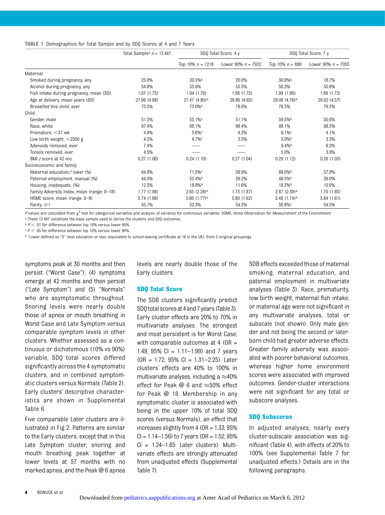#### TABLE 1 Demographics for Total Sample and by SDQ Scores at 4 and 7 Years

|                                            | Total Sample <sup>a</sup> $n = 13467$ |                           | SDO Total Score, 4 y | SDO Total Score, 7 y      |                      |  |
|--------------------------------------------|---------------------------------------|---------------------------|----------------------|---------------------------|----------------------|--|
|                                            |                                       | Top 10% $n = 1218$        | Lower 90% $n = 7922$ | Top 10% $n = 889$         | Lower 90% $n = 7055$ |  |
| Maternal                                   |                                       |                           |                      |                           |                      |  |
| Smoked during pregnancy, any               | 25.0%                                 | 30.5%b                    | 20.0%                | 30.9%b                    | 18.7%                |  |
| Alcohol during pregnancy, any              | 54.6%                                 | 55.6%                     | 55.5%                | 58.3%                     | 55.6%                |  |
| Fish intake during pregnancy, mean (SD)    | 1.87(1.75)                            | 1.94(1.76)                | 1.88(1.75)           | 1.96(1.86)                | 1.88(1.73)           |  |
| Age at delivery, mean years (SD)           | 27.96 (4.98)                          | 27.47 (4.80) <sup>b</sup> | 28.86 (4.65)         | 28.08 (4.76) <sup>b</sup> | 29.02 (4.57)         |  |
| Breastfed this child, ever                 | 75.5%                                 | 73.0%b                    | 78.6%                | 76.5%                     | 79.3%                |  |
| Child                                      |                                       |                           |                      |                           |                      |  |
| Gender, male                               | 51.5%                                 | 55.1% <sup>c</sup>        | 51.1%                | 59.5%b                    | 50.6%                |  |
| Race, white                                | 97.4%                                 | 98.1%                     | 98.4%                | 98.1%                     | 98.3%                |  |
| Premature, $<$ 37 wk                       | 4.9%                                  | $5.6\%$                   | 4.3%                 | $6.1\%$                   | 4.1%                 |  |
| Low birth weight, $<$ 2500 g               | 4.3%                                  | 4.7%c                     | 3.5%                 | $5.0\%$                   | 3.3%                 |  |
| Adenoids removed, ever                     | 7.4%                                  |                           |                      | 9.4%                      | 6.2%                 |  |
| Tonsils removed, ever                      | 4.5%                                  |                           |                      | 5.0%                      | 3.8%                 |  |
| BMI z score at 42 mo                       | 0.27(1.06)                            | 0.24(1.10)                | 0.27(1.04)           | 0.29(1.12)                | 0.26(1.03)           |  |
| Socioeconomic and family                   |                                       |                           |                      |                           |                      |  |
| Maternal education, <sup>d</sup> lower (%) | 64.6%                                 | 71.5%c                    | 58.9%                | 69.0%b                    | 57.8%                |  |
| Paternal employment, manual (%)            | 44.0%                                 | 52.4%b                    | 39.2%                | 48.5%b                    | 39.0%                |  |
| Housing, inadequate, (%)                   | 12.3%                                 | 18.9%b                    | 11.6%                | 18.3%b                    | 10.9%                |  |
| Family Adversity Index, mean (range: 0-18) | 1.77 (1.98)                           | $2.65(2.28)$ <sup>b</sup> | 1.73(1.87)           | $2.87(2.39)^b$            | 1.70(1.85)           |  |
| HOME score, mean (range: 0-8)              | 5.74 (1.66)                           | $5.60(1.77)^{b}$          | 5.80 (1.62)          | $5.48(1.74)^{b}$          | 5.84(1.61)           |  |
| Parity, $\geq$ 1                           | 55.1%                                 | 52.3%                     | 54.3%                | 50.8%c                    | 54.5%                |  |

P values are calculated from  $\chi^2$  test for categorical variables and analysis of variance for continuous variables. HOME, Home Observation for Measurement of the Environment.

a These 13 467 constitute the base sample used to derive the clusters and SDQ outcomes.

 $b$   $P$  < .01 for difference between top 10% versus lower 90%.

 $c$   $P$  < .05 for difference between top 10% versus lower 90%.

<sup>d</sup> "Lower defined as "O" level education or less (equivalent to school-leaving certificate at 16 in the UK), from 5 original groupings.

symptoms peak at 30 months and then persist ("Worst Case"), (4) symptoms emerge at 42 months and then persist ("Late Symptom") and (5) "Normals" who are asymptomatic throughout. Snoring levels were nearly double those of apnea or mouth breathing in Worst Case and Late Symptom versus comparable symptom levels in other clusters. Whether assessed as a continuous or dichotomous (10% vs 90%) variable, SDQ total scores differed significantly across the 4 symptomatic clusters, and in combined symptomatic clusters versus Normals (Table 2). Early clusters' descriptive characteristics are shown in [Supplemental](http://pediatrics.aappublications.org/lookup/suppl/doi:10.1542/peds.2011-1402/-/DCSupplemental) [Table 6](http://pediatrics.aappublications.org/lookup/suppl/doi:10.1542/peds.2011-1402/-/DCSupplemental).

Five comparable Later clusters are illustrated in Fig 2. Patterns are similar to the Early clusters, except that in this Late Symptom cluster, snoring and mouth breathing peak together at lower levels at 57 months with no marked apnea, and the Peak @ 6 apnea

levels are nearly double those of the Early clusters.

#### SDQ Total Score

The SDB clusters significantly predict SDQ total scores at 4 and 7 years (Table 3). Early cluster effects are 20% to 70% in multivariate analyses. The strongest and most persistent is for Worst Case, with comparable outcomes at 4 (OR  $=$ 1.49,  $95\%$  CI = 1.11–1.99) and 7 years  $(OR = 1.72, 95\% \text{ Cl} = 1.31 - 2.25)$ . Later clusters' effects are 40% to 100% in multivariate analyses, including a  $\approx$ 40% effect for Peak  $\omega$  6 and  $\approx$  50% effect for Peak @ 18. Membership in any symptomatic cluster is associated with being in the upper 10% of total SDQ scores (versus Normals), an effect that increases slightly from  $4$  (OR = 1.33, 95%  $Cl = 1.14 - 1.56$ ) to 7 years (OR = 1.52, 95%  $Cl = 1.24 - 1.85$ : Later clusters). Multivariate effects are strongly attenuated from unadjusted effects ([Supplemental](http://pediatrics.aappublications.org/lookup/suppl/doi:10.1542/peds.2011-1402/-/DCSupplemental) [Table 7](http://pediatrics.aappublications.org/lookup/suppl/doi:10.1542/peds.2011-1402/-/DCSupplemental)).

SDB effects exceeded those of maternal smoking, maternal education, and paternal employment in multivariate analyses (Table 3). Race, prematurity, low birth weight, maternal fish intake, or maternal age were not significant in any multivariate analyses, total or subscale (not shown). Only male gender and not being the second or laterborn child had greater adverse effects. Greater family adversity was associated with poorer behavioral outcomes, whereas higher home environment scores were associated with improved outcomes. Gender-cluster interactions were not significant for any total or subscore analyses.

#### SDQ Subscores

In adjusted analyses, nearly every cluster-subscale association was significant (Table 4), with effects of 20% to 100% (see [Supplemental Table 7](http://pediatrics.aappublications.org/lookup/suppl/doi:10.1542/peds.2011-1402/-/DCSupplemental) for unadjusted effects.) Details are in the following paragraphs.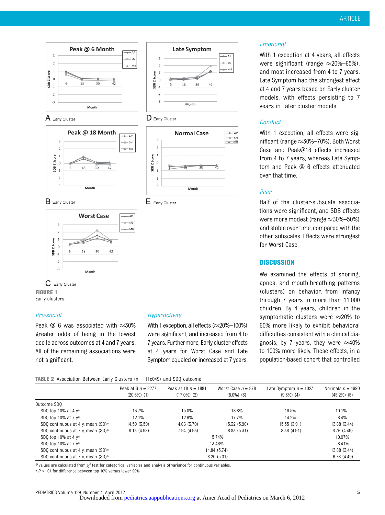

#### $A$  Early Cluster













 $E_{\text{Early Cluster}}$ 

C Early Cluster FIGURE 1 Early clusters.

## Pro-social

Peak  $\omega$  6 was associated with  $\approx$ 30% greater odds of being in the lowest decile across outcomes at 4 and 7 years. All of the remaining associations were not significant.

#### Hyperactivity

With 1 exception, all effects ( $\approx$ 20%–100%) were significant, and increased from 4 to 7 years. Furthermore, Early cluster effects at 4 years for Worst Case and Late Symptom equaled or increased at 7 years.

#### Emotional

With 1 exception at 4 years, all effects were significant (range  $\approx$ 20%–65%). and most increased from 4 to 7 years. Late Symptom had the strongest effect at 4 and 7 years based on Early cluster models, with effects persisting to 7 years in Later cluster models.

### **Conduct**

With 1 exception, all effects were significant (range  $\approx$  30%–70%). Both Worst Case and Peak@18 effects increased from 4 to 7 years, whereas Late Symptom and Peak @ 6 effects attenuated over that time.

#### Peer

Half of the cluster-subscale associations were significant, and SDB effects were more modest (range  $\approx$  30%–50%) and stable over time, compared with the other subscales. Effects were strongest for Worst Case.

#### **DISCUSSION**

We examined the effects of snoring, apnea, and mouth-breathing patterns (clusters) on behavior, from infancy through 7 years in more than 11 000 children. By 4 years, children in the symptomatic clusters were  $\approx$ 20% to 60% more likely to exhibit behavioral difficulties consistent with a clinical diagnosis; by 7 years, they were  $\approx 40\%$ to 100% more likely. These effects, in a population-based cohort that controlled

TABLE 2 Association Between Early Clusters (n = 11c049) and SDQ outcome

|                                               | Peak at 6 $n = 2277$ | Peak at 18 $n = 1881$ | Worst Case $n = 878$ | Late Symptom $n = 1023$ | Normals $n = 4990$ |
|-----------------------------------------------|----------------------|-----------------------|----------------------|-------------------------|--------------------|
|                                               | $(20.6\%)$ (1)       | $(17.0\%)$ (2)        | $(8.0\%)$ $(3)$      | $(9.3\%)$ (4)           | $(45.2\%)$ (5)     |
| Outcome SDO                                   |                      |                       |                      |                         |                    |
| SDO top 10% at 4 $v$ <sup>a</sup>             | 13.7%                | 15.0%                 | 18.8%                | 19.5%                   | 10.1%              |
| SDO top 10% at 7 $v^a$                        | 12.1%                | 12.9%                 | 17.7%                | 14.2%                   | 8.4%               |
| SDQ continuous at 4 y, mean (SD) <sup>a</sup> | 14.59 (3.59)         | 14.66 (3.70)          | 15.32 (3.96)         | 15.35 (3.91)            | 13.88 (3.44)       |
| SDQ continuous at 7 y, mean (SD) <sup>a</sup> | 8.13 (4.98)          | 7.94 (4.93)           | 8.83 (5.31)          | 8.36 (4.91)             | 6.76(4.49)         |
| SDO top 10% at 4 $v$ <sup>a</sup>             |                      |                       | 15.74%               |                         | 10.07%             |
| SDO top 10% at 7 y <sup>a</sup>               |                      |                       | 13.46%               |                         | 8.41%              |
| SDO continuous at 4 y, mean (SD) <sup>a</sup> |                      |                       | 14.84 (3.74)         |                         | 13.88 (3.44)       |
| SDO continuous at 7 y, mean (SD) <sup>a</sup> |                      |                       | 8.20(5.01)           |                         | 6.76(4.49)         |

P values are calculated from  $\chi^2$  test for categorical variables and analysis of variance for continuous variables.

 $a$   $P$  < .01 for difference between top 10% versus lower 90%.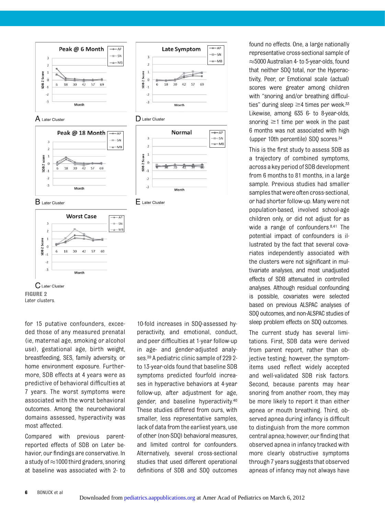













 $E$  Later Cluster



for 15 putative confounders, exceeded those of any measured prenatal (ie, maternal age, smoking or alcohol use), gestational age, birth weight, breastfeeding, SES, family adversity, or home environment exposure. Furthermore, SDB effects at 4 years were as predictive of behavioral difficulties at 7 years. The worst symptoms were associated with the worst behavioral outcomes. Among the neuroehavioral domains assessed, hyperactivity was most affected.

Compared with previous parentreported effects of SDB on Later behavior, our findings are conservative. In a study of  $\approx$ 1000 third graders, snoring at baseline was associated with 2- to

10-fold increases in SDQ-assessed hyperactivity, and emotional, conduct, and peer difficulties at 1-year follow-up in age- and gender-adjusted analyses.39 A pediatric clinic sample of 229 2 to 13-year-olds found that baseline SDB symptoms predicted fourfold increases in hyperactive behaviors at 4-year follow-up, after adjustment for age, gender, and baseline hyperactivity.40 These studies differed from ours, with smaller, less representative samples, lack of data from the earliest years, use of other (non-SDQ) behavioral measures, and limited control for confounders. Alternatively, several cross-sectional studies that used different operational definitions of SDB and SDQ outcomes

found no effects. One, a large nationally representative cross-sectional sample of  $\approx$  5000 Australian 4- to 5-year-olds, found that neither SDQ total, nor the Hyperactivity, Peer, or Emotional scale (actual) scores were greater among children with "snoring and/or breathing difficulties" during sleep  $\geq$ 4 times per week.<sup>33</sup> Likewise, among 635 6- to 8-year-olds, snoring  $\geq$ 1 time per week in the past 6 months was not associated with high (upper 10th percentile) SDQ scores.34

This is the first study to assess SDB as a trajectory of combined symptoms, across a key period of SDB development from 6 months to 81 months, in a large sample. Previous studies had smaller samples that were often cross-sectional, or had shorter follow-up. Many were not population-based, involved school-age children only, or did not adjust for as wide a range of confounders.<sup>8,41</sup> The potential impact of confounders is illustrated by the fact that several covariates independently associated with the clusters were not significant in multivariate analyses, and most unadjusted effects of SDB attenuated in controlled analyses. Although residual confounding is possible, covariates were selected based on previous ALSPAC analyses of SDQ outcomes, and non-ALSPAC studies of sleep problem effects on SDQ outcomes.

The current study has several limitations. First, SDB data were derived from parent report, rather than objective testing; however, the symptomitems used reflect widely accepted and well-validated SDB risk factors. Second, because parents may hear snoring from another room, they may be more likely to report it than either apnea or mouth breathing. Third, observed apnea during infancy is difficult to distinguish from the more common central apnea; however, our findingthat observed apnea in infancy tracked with more clearly obstructive symptoms through 7 years suggests that observed apneas of infancy may not always have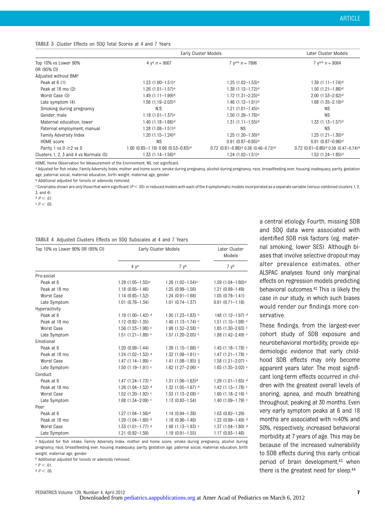#### TABLE 3 Cluster Effects on SDQ Total Scores at 4 and 7 Years

|                                       |                                                  | Early Cluster Models                                                    |                                                                         |  |  |
|---------------------------------------|--------------------------------------------------|-------------------------------------------------------------------------|-------------------------------------------------------------------------|--|--|
| Top 10% vs Lower 90%                  | 4 ya $n = 9007$                                  | $7 \text{ y}^{\text{a} \cdot \text{b}} \text{ n} = 7996$                | 7 $y^{a/b}$ $n = 8064$                                                  |  |  |
| OR (95% CI)                           |                                                  |                                                                         |                                                                         |  |  |
| Adjusted without BMI <sup>c</sup>     |                                                  |                                                                         |                                                                         |  |  |
| Peak at 6 (1)                         | $1.23$ $(1.00-1.51)$ <sup>e</sup>                | $1.25(1.02 - 1.53)^e$                                                   | $1.39(1.11 - 1.74)$ <sup>d</sup>                                        |  |  |
| Peak at 18 mo (2)                     | $1.26$ $(1.01 - 1.57)$ <sup>e</sup>              | $1.39(1.12 - 1.72)$ <sup>d</sup>                                        | $1.50(1.21 - 1.86)$ <sup>d</sup>                                        |  |  |
| Worst Case (3)                        | $1.49(1.11 - 1.99)$ <sup>d</sup>                 | $1.72(1.31 - 2.25)$ <sup>d</sup>                                        | $2.00(1.53 - 2.62)$ <sup>d</sup>                                        |  |  |
| Late symptom (4)                      | $1.56$ (1.19-2.03) <sup>d</sup>                  | $1.46$ $(1.12 - 1.91)$ <sup>d</sup>                                     | $1.68$ $(1.35 - 2.10)$ <sup>d</sup>                                     |  |  |
| Smoking during pregnancy              | N.S.                                             | $1.21(1.01 - 1.45)$ <sup>e</sup>                                        | NS.                                                                     |  |  |
| Gender, male                          | $1.18(1.01 - 1.37)$ <sup>e</sup>                 | $1.50(1.29 - 1.76)$ <sup>d</sup>                                        | <b>NS</b>                                                               |  |  |
| Maternal education, lower             | $1.40(1.18 - 1.66)$ <sup>d</sup>                 | $1.31(1.11 - 1.55)$ <sup>d</sup>                                        | $1.33(1.13 - 1.57)$ <sup>d</sup>                                        |  |  |
| Paternal employment, manual           | $1.28(1.08 - 1.51)$ <sup>d</sup>                 | ΝS                                                                      | NS.                                                                     |  |  |
| Family Adversity Index                | $1.20(1.15 - 1.24)$ <sup>d</sup>                 | $1.25(1.20 - 1.30)$ <sup>d</sup>                                        | $1.25(1.21 - 1.30)$ <sup>d</sup>                                        |  |  |
| HOME score                            | <b>NS</b>                                        | $0.91(0.87 - 0.95)$ <sup>d</sup>                                        | $0.91$ $(0.87 - 0.96)$ <sup>d</sup>                                     |  |  |
| Parity 1 vs $0 \ge 2$ vs 0            | $1.00$ (0.85-1.19) 0.66 (0.53-0.83) <sup>d</sup> | $0.72$ $(0.61 - 0.86)$ <sup>d</sup> $0.58$ $(0.46 - 0.72)$ <sup>d</sup> | $0.72$ $(0.61 - 0.86)$ <sup>d</sup> $0.59$ $(0.47 - 0.74)$ <sup>d</sup> |  |  |
| Clusters 1, 2, 3 and 4 vs Normals (5) | $1.33(1.14 - 1.56)$ <sup>d</sup>                 | $1.24$ $(1.02 - 1.51)$ <sup>e</sup>                                     | $1.52$ (1.24-1.85) <sup>d</sup>                                         |  |  |

HOME, Home Observation for Measurement of the Environment; NS, not significant.

a Adjusted for fish intake, Family Adversity Index, mother and home score, smoke during pregnancy, alcohol during pregnancy, prace, breastfeeding ever, housing inadequacy, parity, gestation age, paternal social, maternal education, birth weight, maternal age, gender.

b Additional adjusted for tonsils or adenoids removed.

c Covariates shown are only those that were significant (P < .05) in reduced models with each of the 4 symptomatic models incorporated as a separate variable (versus combined clusters 1, 2, 3, and 4).

d  $P < 01$ 

 $P < .05$ .

|  |  |  |  |  |  | TABLE 4 Adjusted Clusters Effects on SDQ Subscales at 4 and 7 Years |  |  |  |  |  |  |
|--|--|--|--|--|--|---------------------------------------------------------------------|--|--|--|--|--|--|
|--|--|--|--|--|--|---------------------------------------------------------------------|--|--|--|--|--|--|

| Top 10% vs Lower 90% OR (95% CI) | Early Cluster Models              | Later Cluster<br>Models             |                                     |  |
|----------------------------------|-----------------------------------|-------------------------------------|-------------------------------------|--|
|                                  | 4 y <sup>a</sup>                  | 7 v <sup>b</sup>                    | 7 yb                                |  |
| Pro-social                       |                                   |                                     |                                     |  |
| Peak at 6                        | $1.28$ (1.05-1.55) <sup>c</sup>   | $1.26$ $(1.02 - 1.54)$ <sup>c</sup> | $1.29$ $(1.04 - 1.60)$ <sup>d</sup> |  |
| Peak at 18 mo                    | $1.18(0.95 - 1.46)$               | $1.25(0.99 - 1.56)$                 | $1.21(0.99 - 1.49)$                 |  |
| Worst Case                       | $1.14(0.85 - 1.52)$               | $1.24(0.91 - 1.68)$                 | $1.05(0.78 - 1.41)$                 |  |
| Late Symptom                     | $1.01(0.76 - 1.34)$               | $1.01$ $(0.74 - 1.37)$              | $0.91(0.71 - 1.16)$                 |  |
| Hyperactivity                    |                                   |                                     |                                     |  |
| Peak at 6                        | 1.19 $(1.00-1.42)$ <sup>d</sup>   | $1.50(1.23 - 1.83)$                 | 148 (1.12-1.97) d                   |  |
| Peak at 18 mo                    | $1.12(0.92 - 1.35)$               | 1.40 $(1.13 - 1.74)$ <sup>c</sup>   | $1.51(1.15 - 1.98)$ <sup>c</sup>    |  |
| Worst Case                       | $1.56$ (1.23-1.98) $\circ$        | $1.98(1.52 - 2.58)$ <sup>c</sup>    | $1.85(1.30 - 2.63)$                 |  |
| Late Symptom                     | $1.51(1.21 - 1.89)$ <sup>c</sup>  | 1.57 (1.20-2.05) c                  | 1.88 (1.42-2.49) c                  |  |
| Emotional                        |                                   |                                     |                                     |  |
| Peak at 6                        | $1.20(0.99 - 1.44)$               | $1.38(1.15 - 1.66)$                 | $1.45$ (1.18-1.78) $\circ$          |  |
| Peak at 18 mo                    | 1.24 $(1.02 - 1.52)$ <sup>d</sup> | $1.32(1.09 - 1.61)$ <sup>c</sup>    | 1.47 $(1.21 - 1.78)$ <sup>c</sup>   |  |
| Worst Case                       | $1.47(1.14 - 1.89)$ <sup>c</sup>  | 1.41 (1.08-1.85) $\pm$              | $1.58(1.21 - 2.07)$                 |  |
| Late Symptom                     | $1.50(1.19 - 1.91)$ <sup>c</sup>  | 1.62 $(1.27 - 2.06)$ <sup>c</sup>   | 1.65 $(1.35 - 2.02)$ <sup>c</sup>   |  |
| Conduct                          |                                   |                                     |                                     |  |
| Peak at 6                        | 1.47 $(1.24 - 1.73)$ <sup>c</sup> | $1.31$ $(1.06 - 1.63)$ <sup>d</sup> | $1.29(1.01 - 1.65)$ <sup>d</sup>    |  |
| Peak at 18 mo                    | 1.26 $(1.04 - 1.52)$ <sup>d</sup> | 1.32 $(1.05 - 1.67)$ <sup>d</sup>   | 1.42 $(1.13 - 1.78)$ <sup>c</sup>   |  |
| Worst Case                       | $1.52$ (1.20-1.92) c              | $1.53$ (1.13-2.08) $\circ$          | 1.60 $(1.18 - 2.16)$ c              |  |
| Late Symptom                     | 1.68 $(1.34 - 2.09)$ <sup>c</sup> | $1.13(0.83 - 1.54)$                 | 1.40 $(1.09 - 1.79)$ <sup>c</sup>   |  |
| Peer                             |                                   |                                     |                                     |  |
| Peak at 6                        | $1.27$ (1.04-1.56) <sup>d</sup>   | $1.14(0.94 - 1.38)$                 | $1.03(0.82 - 1.29)$                 |  |
| Peak at 18 mo                    | 1.29 $(1.04 - 1.60)$ <sup>d</sup> | $1.18(0.96 - 1.46)$                 | 1.22 (0.99-1.49) <sup>d</sup>       |  |
| Worst Case                       | $1.33$ (1.01-1.77) d              | $1.48$ (1.13-1.93) $\circ$          | $1.37$ (1.04-1.80) <sup>d</sup>     |  |
| Late Symptom                     | $1.21(0.92 - 1.59)$               | $1.19(0.91 - 1.55)$                 | $1.17(0.93 - 1.46)$                 |  |

a Adjusted for fish intake, Family Adversity Index, mother and home score, smoke during pregnancy, alcohol during pregnancy, race, breastfeeding ever, housing inadequacy, parity, gestation age, paternal social, maternal education, birth weight, maternal age, gender.

**b** Additional adjusted for tonsils or adenoids removed

c  $P < .01$ . d  $P < 0.5$ 

PEDIATRICS Volume 129, Number 4, April 2012 **7 7** 

a central etiology. Fourth, missing SDB and SDQ data were associated with identified SDB risk factors (eg, maternal smoking, lower SES). Although biases that involve selective dropout may alter prevalence estimates, other ALSPAC analyses found only marginal effects on regression models predicting behavioral outcomes.42 This is likely the case in our study, in which such biases would render our findings more conservative.

These findings, from the largest-ever cohort study of SDB exposure and neurobehavioral morbidity, provide epidemiologic evidence that early childhood SDB effects may only become apparent years later. The most significant long-term effects occurred in children with the greatest overall levels of snoring, apnea, and mouth breathing throughout, peaking at 30 months. Even very early symptom peaks at 6 and 18 months are associated with  $\approx$ 40% and 50%, respectively, increased behavioral morbidity at 7 years of age. This may be because of the increased vulnerability to SDB effects during this early critical period of brain development,<sup>43</sup> when there is the greatest need for sleep.44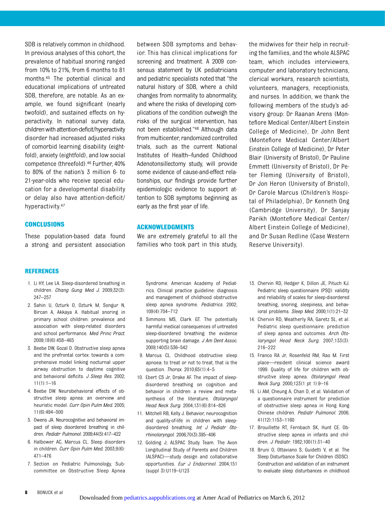SDB is relatively common in childhood. In previous analyses of this cohort, the prevalence of habitual snoring ranged from 10% to 21%, from 6 months to 81 months.45 The potential clinical and educational implications of untreated SDB, therefore, are notable. As an example, we found significant (nearly twofold), and sustained effects on hyperactivity. In national survey data, children with attention-deficit/hyperactivity disorder had increased adjusted risks of comorbid learning disability (eightfold), anxiety (eightfold), and low social competence (threefold).46 Further, 40% to 80% of the nation's 3 million 6- to 21-year-olds who receive special education for a developmental disability or delay also have attention-deficit/ hyperactivity.47

#### **CONCLUSIONS**

These population-based data found a strong and persistent association

between SDB symptoms and behavior. This has clinical implications for screening and treatment. A 2009 consensus statement by UK pediatricians and pediatric specialists noted that "the natural history of SDB, where a child changes from normality to abnormality, and where the risks of developing complications of the condition outweigh the risks of the surgical intervention, has not been established."<sup>48</sup> Although data from multicenter, randomized controlled trials, such as the current National Institutes of Health–funded Childhood Adenotonsillectomy study, will provide some evidence of cause-and-effect relationships, our findings provide further epidemiologic evidence to support attention to SDB symptoms beginning as early as the first year of life.

#### ACKNOWLEDGMENTS

We are extremely grateful to all the families who took part in this study, the midwives for their help in recruiting the families, and the whole ALSPAC team, which includes interviewers, computer and laboratory technicians, clerical workers, research scientists, volunteers, managers, receptionists, and nurses. In addition, we thank the following members of the study's advisory group: Dr Raanan Arens (Montefiore Medical Center/Albert Einstein College of Medicine), Dr John Bent (Montefiore Medical Center/Albert Einstein College of Medicine), Dr Peter Blair (University of Bristol), Dr Pauline Emmett (University of Bristol), Dr Peter Fleming (University of Bristol), Dr Jon Heron (University of Bristol), Dr Carole Marcus (Children's Hospital of Philadelphia), Dr Kenneth Ong (Cambridge University), Dr Sanjay Parikh (Montefiore Medical Center/ Albert Einstein College of Medicine), and Dr Susan Redline (Case Western Reserve University).

#### REFERENCES

- 1. Li HY, Lee LA. Sleep-disordered breathing in children. Chang Gung Med J. 2009;32(3): 247–257
- 2. Sahin U, Ozturk O, Ozturk M, Songur N, Bircan A, Akkaya A. Habitual snoring in primary school children: prevalence and association with sleep-related disorders and school performance. Med Princ Pract. 2009;18(6):458–465
- 3. Beebe DW, Gozal D. Obstructive sleep apnea and the prefrontal cortex: towards a comprehensive model linking nocturnal upper airway obstruction to daytime cognitive and behavioral deficits. J Sleep Res. 2002;  $11(1):1-16$
- 4. Beebe DW. Neurobehavioral effects of obstructive sleep apnea: an overview and heuristic model. Curr Opin Pulm Med. 2005; 11(6):494–500
- 5. Owens JA. Neurocognitive and behavioral impact of sleep disordered breathing in children. Pediatr Pulmonol. 2009;44(5):417–422
- 6. Halbower AC, Marcus CL. Sleep disorders in children. Curr Opin Pulm Med. 2003;9(6): 471–476
- 7. Section on Pediatric Pulmonology, Subcommittee on Obstructive Sleep Apnea

Syndrome. American Academy of Pediatrics. Clinical practice guideline: diagnosis and management of childhood obstructive sleep apnea syndrome. Pediatrics. 2002; 109(4):704–712

- 8. Simmons MS, Clark GT. The potentially harmful medical consequences of untreated sleep-disordered breathing: the evidence supporting brain damage. J Am Dent Assoc. 2009;140(5):536–542
- 9. Marcus CL. Childhood obstructive sleep apnoea: to treat or not to treat, that is the question. Thorax. 2010;65(1):4–5
- 10. Ebert CS Jr, Drake AF. The impact of sleepdisordered breathing on cognition and behavior in children: a review and metasynthesis of the literature. Otolaryngol Head Neck Surg. 2004;131(6):814–826
- 11. Mitchell RB, Kelly J. Behavior, neurocognition and quality-of-life in children with sleepdisordered breathing. Int J Pediatr Otorhinolaryngol. 2006;70(3):395–406
- 12. Golding J; ALSPAC Study Team. The Avon Longitudinal Study of Parents and Children (ALSPAC)—study design and collaborative opportunities. Eur J Endocrinol. 2004;151 (suppl 3):U119–U123
- 13. Chervin RD, Hedger K, Dillon JE, Pituch KJ. Pediatric sleep questionnaire (PSQ): validity and reliability of scales for sleep-disordered breathing, snoring, sleepiness, and behavioral problems. Sleep Med. 2000;1(1):21–32
- 14. Chervin RD, Weatherly RA, Garetz SL, et al. Pediatric sleep questionnaire: prediction of sleep apnea and outcomes. Arch Otolaryngol Head Neck Surg. 2007;133(3): 216–222
- 15. Franco RA Jr, Rosenfeld RM, Rao M. First place—resident clinical science award 1999. Quality of life for children with obstructive sleep apnea. Otolaryngol Head Neck Surg. 2000;123(1 pt 1):9–16
- 16. Li AM, Cheung A, Chan D, et al. Validation of a questionnaire instrument for prediction of obstructive sleep apnea in Hong Kong Chinese children. Pediatr Pulmonol. 2006; 41(12):1153–1160
- 17. Brouillette RT, Fernbach SK, Hunt CE. Obstructive sleep apnea in infants and children. J Pediatr. 1982;100(1):31–40
- 18. Bruni O, Ottaviano S, Guidetti V, et al. The Sleep Disturbance Scale for Children (SDSC). Construction and validation of an instrument to evaluate sleep disturbances in childhood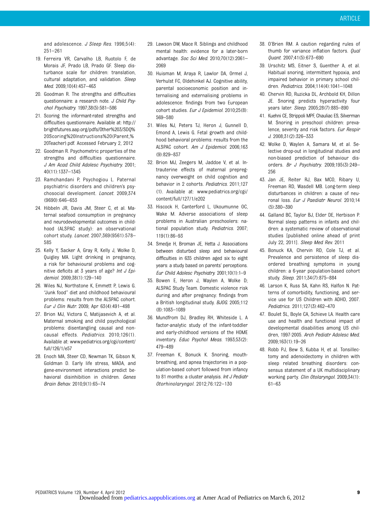and adolescence. J Sleep Res. 1996;5(4): 251–261

- 19. Ferreira VR, Carvalho LB, Ruotolo F, de Morais JF, Prado LB, Prado GF. Sleep disturbance scale for children: translation, cultural adaptation, and validation. Sleep Med. 2009;10(4):457–463
- 20. Goodman R. The strengths and difficulties questionnaire: a research note. J Child Psychol Psychiatry. 1997;38(5):581–586
- 21. Scoring the informant-rated strengths and difficulties questionnaire. Available at: [http://](http://brightfutures.aap.org/pdfs/Other%203/SDQ%20Scoring%20Instructions%20(Parent,%20Teacher).pdf) [brightfutures.aap.org/pdfs/Other%203/SDQ%](http://brightfutures.aap.org/pdfs/Other%203/SDQ%20Scoring%20Instructions%20(Parent,%20Teacher).pdf) [20Scoring%20Instructions%20\(Parent,%](http://brightfutures.aap.org/pdfs/Other%203/SDQ%20Scoring%20Instructions%20(Parent,%20Teacher).pdf) [20Teacher\).pdf.](http://brightfutures.aap.org/pdfs/Other%203/SDQ%20Scoring%20Instructions%20(Parent,%20Teacher).pdf) Accessed February 2, 2012
- 22. Goodman R. Psychometric properties of the strengths and difficulties questionnaire. J Am Acad Child Adolesc Psychiatry. 2001; 40(11):1337–1345
- 23. Ramchandani P, Psychogiou L. Paternal psychiatric disorders and children's psychosocial development. Lancet. 2009;374 (9690):646–653
- 24. Hibbeln JR, Davis JM, Steer C, et al. Maternal seafood consumption in pregnancy and neurodevelopmental outcomes in childhood (ALSPAC study): an observational cohort study. Lancet. 2007;369(9561):578– 585
- 25. Kelly Y, Sacker A, Gray R, Kelly J, Wolke D, Quigley MA. Light drinking in pregnancy, a risk for behavioural problems and cognitive deficits at 3 years of age? Int J Epidemiol. 2009;38(1):129–140
- 26. Wiles NJ, Northstone K, Emmett P, Lewis G. "Junk food" diet and childhood behavioural problems: results from the ALSPAC cohort. Eur J Clin Nutr. 2009; Apr 63(4):491–498
- 27. Brion MJ, Victora C, Matijasevich A, et al. Maternal smoking and child psychological problems: disentangling causal and noncausal effects. Pediatrics. 2010;126(1). Available at: www.pediatrics.org/cgi/content/ full/126/1/e57
- 28. Enoch MA, Steer CD, Newman TK, Gibson N, Goldman D. Early life stress, MAOA, and gene-environment interactions predict behavioral disinhibition in children. Genes Brain Behav. 2010;9(1):65–74
- 29. Lawson DW, Mace R. Siblings and childhood mental health: evidence for a later-born advantage. Soc Sci Med. 2010;70(12):2061– 2069
- 30. Huisman M, Araya R, Lawlor DA, Ormel J, Verhulst FC, Oldehinkel AJ. Cognitive ability, parental socioeconomic position and internalising and externalising problems in adolescence: findings from two European cohort studies. Eur J Epidemiol. 2010;25(8): 569–580
- 31. Wiles NJ, Peters TJ, Heron J, Gunnell D, Emond A, Lewis G. Fetal growth and childhood behavioral problems: results from the ALSPAC cohort. Am J Epidemiol. 2006;163 (9):829–837
- 32. Brion MJ, Zeegers M, Jaddoe V, et al. Intrauterine effects of maternal prepregnancy overweight on child cognition and behavior in 2 cohorts. Pediatrics. 2011;127 (1). Available at: www.pediatrics.org/cgi/ content/full/127/1/e202
- 33. Hiscock H, Canterford L, Ukoumunne OC, Wake M. Adverse associations of sleep problems in Australian preschoolers: national population study. Pediatrics. 2007; 119(1):86–93
- 34. Smedje H, Broman JE, Hetta J. Associations between disturbed sleep and behavioural difficulties in 635 children aged six to eight years: a study based on parents' perceptions. Eur Child Adolesc Psychiatry. 2001;10(1):1–9
- 35. Bowen E, Heron J, Waylen A, Wolke D; ALSPAC Study Team. Domestic violence risk during and after pregnancy: findings from a British longitudinal study. BJOG. 2005;112 (8):1083–1089
- 36. Mundfrom DJ, Bradley RH, Whiteside L. A factor-analytic study of the infant-toddler and early-childhood versions of the HOME inventory. Educ Psychol Meas. 1993;53(2): 479–489
- 37. Freeman K, Bonuck K. Snoring, mouthbreathing, and apnea trajectories in a population-based cohort followed from infancy to 81 months: a cluster analysis. Int J Pediatr Otorhinolaryngol. 2012;76:122–130
- 38. O'Brien RM. A caution regarding rules of thumb for variance inflation factors. Qual Quant. 2007;41(5):673–690
- 39. Urschitz MS, Eitner S, Guenther A, et al. Habitual snoring, intermittent hypoxia, and impaired behavior in primary school children. Pediatrics. 2004;114(4):1041–1048
- 40. Chervin RD, Ruzicka DL, Archbold KH, Dillon JE. Snoring predicts hyperactivity four years later. Sleep. 2005;28(7):885–890
- 41. Kuehni CE, Strippoli MPF, Chauliac ES, Silverman M. Snoring in preschool children: prevalence, severity and risk factors. Eur Respir J. 2008;31(2):326–333
- 42. Wolke D, Waylen A, Samara M, et al. Selective drop-out in longitudinal studies and non-biased prediction of behaviour disorders. Br J Psychiatry. 2009;195(3):249– 256
- 43. Jan JE, Reiter RJ, Bax MCO, Ribary U, Freeman RD, Wasdell MB. Long-term sleep disturbances in children: a cause of neuronal loss. Eur J Paediatr Neurol. 2010;14 (5):380–390
- 44. Galland BC, Taylor BJ, Elder DE, Herbison P. Normal sleep patterns in infants and children: a systematic review of observational studies [published online ahead of print July 22, 2011]. Sleep Med Rev. 2011
- 45. Bonuck KA, Chervin RD, Cole TJ, et al. Prevalence and persistence of sleep disordered breathing symptoms in young children: a 6-year population-based cohort study. Sleep. 2011;34(7):875–884
- 46. Larson K, Russ SA, Kahn RS, Halfon N. Patterns of comorbidity, functioning, and service use for US Children with ADHD, 2007. Pediatrics. 2011;127(3):462–470
- 47. Boulet SL, Boyle CA, Schieve LA. Health care use and health and functional impact of developmental disabilities among US children, 1997-2005. Arch Pediatr Adolesc Med. 2009;163(1):19–26
- 48. Robb PJ, Bew S, Kubba H, et al. Tonsillectomy and adenoidectomy in children with sleep related breathing disorders: consensus statement of a UK multidisciplinary working party. Clin Otolaryngol. 2009;34(1): 61–63